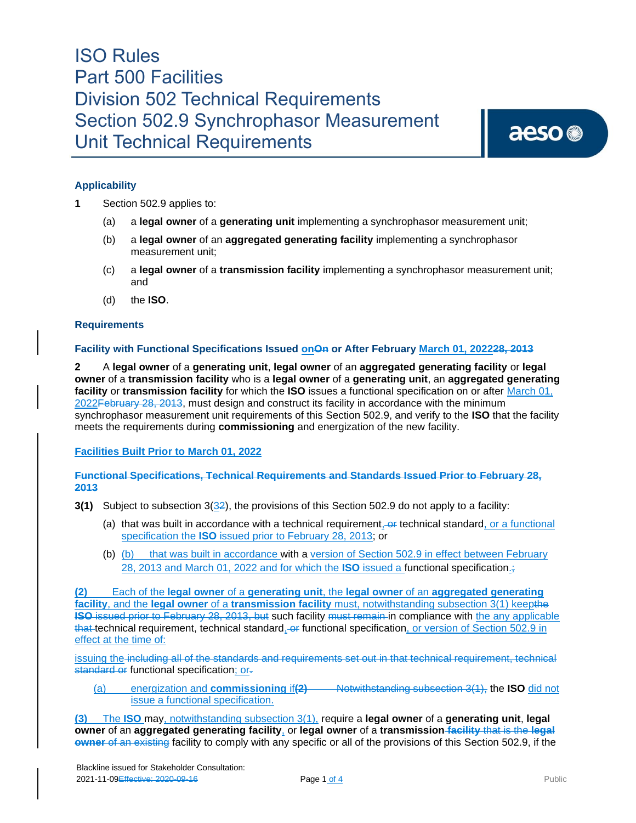aeso<sup>®</sup>

### **Applicability**

- **1** Section 502.9 applies to:
	- (a) a **legal owner** of a **generating unit** implementing a synchrophasor measurement unit;
	- (b) a **legal owner** of an **aggregated generating facility** implementing a synchrophasor measurement unit;
	- (c) a **legal owner** of a **transmission facility** implementing a synchrophasor measurement unit; and
	- (d) the **ISO**.

#### **Requirements**

#### **Facility with Functional Specifications Issued onOn or After February March 01, 202228, 2013**

**2** A **legal owner** of a **generating unit**, **legal owner** of an **aggregated generating facility** or **legal owner** of a **transmission facility** who is a **legal owner** of a **generating unit**, an **aggregated generating facility** or **transmission facility** for which the **ISO** issues a functional specification on or after March 01, 2022February 28, 2013, must design and construct its facility in accordance with the minimum synchrophasor measurement unit requirements of this Section 502.9, and verify to the **ISO** that the facility meets the requirements during **commissioning** and energization of the new facility.

**Facilities Built Prior to March 01, 2022**

#### **Functional Specifications, Technical Requirements and Standards Issued Prior to February 28, 2013**

- **3(1)** Subject to subsection 3(32), the provisions of this Section 502.9 do not apply to a facility:
	- (a) that was built in accordance with a technical requirement, or technical standard, or a functional specification the **ISO** issued prior to February 28, 2013; or
	- (b) (b) that was built in accordance with a version of Section 502.9 in effect between February 28, 2013 and March 01, 2022 and for which the **ISO** issued a functional specification.;

**(2)** Each of the **legal owner** of a **generating unit**, the **legal owner** of an **aggregated generating facility**, and the **legal owner** of a **transmission facility** must, notwithstanding subsection 3(1) keepthe **ISO** issued prior to February 28, 2013, but such facility must remain in compliance with the any applicable that technical requirement, technical standard, or functional specification, or version of Section 502.9 in effect at the time of:

issuing the including all of the standards and requirements set out in that technical requirement, technical standard or functional specification; or-

(a) energization and **commissioning** if**(2)** Notwithstanding subsection 3(1), the **ISO** did not issue a functional specification.

**(3)** The **ISO** may, notwithstanding subsection 3(1), require a **legal owner** of a **generating unit**, **legal owner** of an **aggregated generating facility**, or **legal owner** of a **transmission facility** that is the **legal owner** of an existing facility to comply with any specific or all of the provisions of this Section 502.9, if the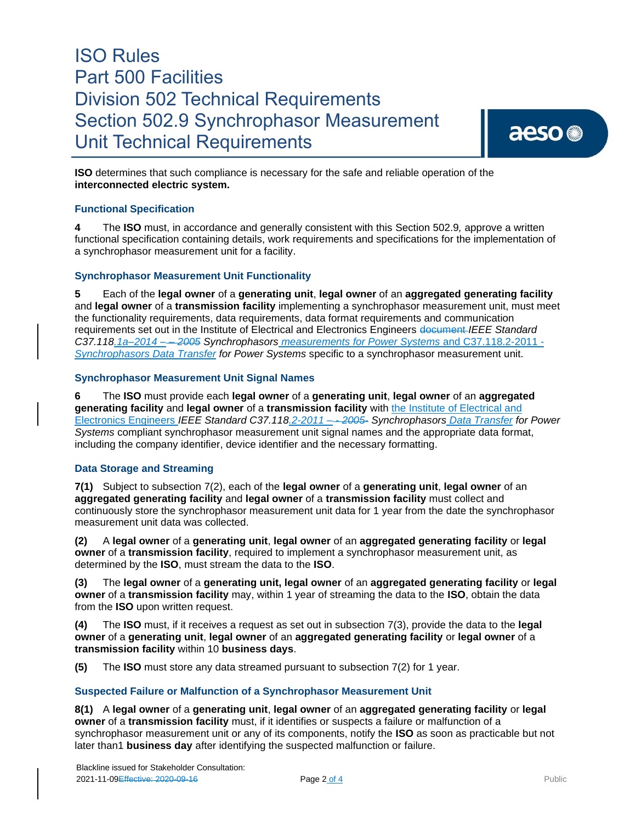aeso<sup>®</sup>

**ISO** determines that such compliance is necessary for the safe and reliable operation of the **interconnected electric system.** 

## **Functional Specification**

**4** The **ISO** must, in accordance and generally consistent with this Section 502.9*,* approve a written functional specification containing details, work requirements and specifications for the implementation of a synchrophasor measurement unit for a facility.

### **Synchrophasor Measurement Unit Functionality**

**5** Each of the **legal owner** of a **generating unit**, **legal owner** of an **aggregated generating facility** and **legal owner** of a **transmission facility** implementing a synchrophasor measurement unit, must meet the functionality requirements, data requirements, data format requirements and communication requirements set out in the Institute of Electrical and Electronics Engineers document *IEEE Standard C37.118.1a–2014 – – 2005 Synchrophasors measurements for Power Systems* and C37.118.2-2011 - *Synchrophasors Data Transfer for Power Systems* specific to a synchrophasor measurement unit.

### **Synchrophasor Measurement Unit Signal Names**

**6** The **ISO** must provide each **legal owner** of a **generating unit**, **legal owner** of an **aggregated generating facility** and **legal owner** of a **transmission facility** with the Institute of Electrical and Electronics Engineers *IEEE Standard C37.118.2-2011 – - 2005*- *Synchrophasors Data Transfer for Power Systems* compliant synchrophasor measurement unit signal names and the appropriate data format, including the company identifier, device identifier and the necessary formatting.

#### **Data Storage and Streaming**

**7(1)** Subject to subsection 7(2), each of the **legal owner** of a **generating unit**, **legal owner** of an **aggregated generating facility** and **legal owner** of a **transmission facility** must collect and continuously store the synchrophasor measurement unit data for 1 year from the date the synchrophasor measurement unit data was collected.

**(2)** A **legal owner** of a **generating unit**, **legal owner** of an **aggregated generating facility** or **legal owner** of a **transmission facility**, required to implement a synchrophasor measurement unit, as determined by the **ISO**, must stream the data to the **ISO**.

**(3)** The **legal owner** of a **generating unit, legal owner** of an **aggregated generating facility** or **legal owner** of a **transmission facility** may, within 1 year of streaming the data to the **ISO**, obtain the data from the **ISO** upon written request.

**(4)** The **ISO** must, if it receives a request as set out in subsection 7(3), provide the data to the **legal owner** of a **generating unit**, **legal owner** of an **aggregated generating facility** or **legal owner** of a **transmission facility** within 10 **business days**.

**(5)** The **ISO** must store any data streamed pursuant to subsection 7(2) for 1 year.

## **Suspected Failure or Malfunction of a Synchrophasor Measurement Unit**

**8(1)** A **legal owner** of a **generating unit**, **legal owner** of an **aggregated generating facility** or **legal owner** of a **transmission facility** must, if it identifies or suspects a failure or malfunction of a synchrophasor measurement unit or any of its components, notify the **ISO** as soon as practicable but not later than1 **business day** after identifying the suspected malfunction or failure.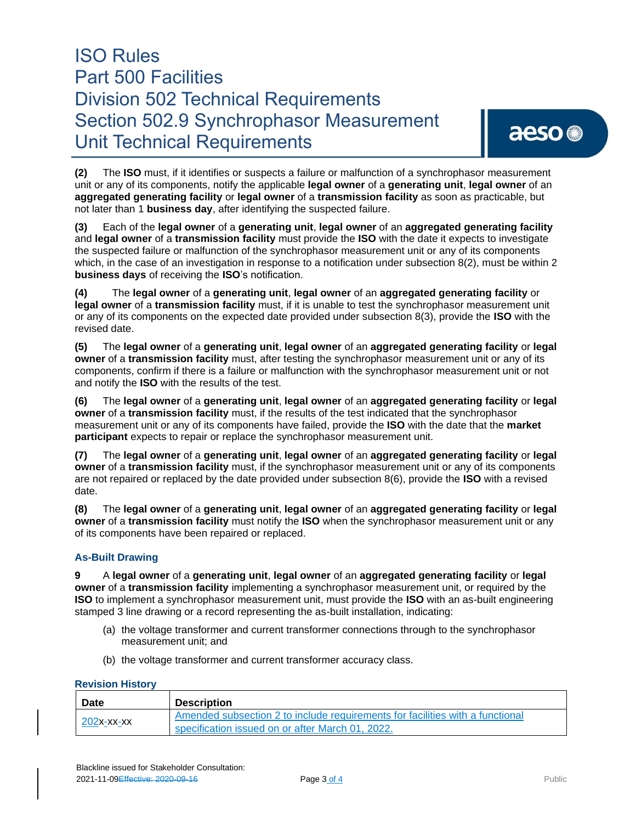**(2)** The **ISO** must, if it identifies or suspects a failure or malfunction of a synchrophasor measurement unit or any of its components, notify the applicable **legal owner** of a **generating unit**, **legal owner** of an **aggregated generating facility** or **legal owner** of a **transmission facility** as soon as practicable, but not later than 1 **business day**, after identifying the suspected failure.

**(3)** Each of the **legal owner** of a **generating unit**, **legal owner** of an **aggregated generating facility** and **legal owner** of a **transmission facility** must provide the **ISO** with the date it expects to investigate the suspected failure or malfunction of the synchrophasor measurement unit or any of its components which, in the case of an investigation in response to a notification under subsection 8(2), must be within 2 **business days** of receiving the **ISO**'s notification.

**(4)** The **legal owner** of a **generating unit**, **legal owner** of an **aggregated generating facility** or **legal owner** of a **transmission facility** must, if it is unable to test the synchrophasor measurement unit or any of its components on the expected date provided under subsection 8(3), provide the **ISO** with the revised date.

**(5)** The **legal owner** of a **generating unit**, **legal owner** of an **aggregated generating facility** or **legal owner** of a **transmission facility** must, after testing the synchrophasor measurement unit or any of its components, confirm if there is a failure or malfunction with the synchrophasor measurement unit or not and notify the **ISO** with the results of the test.

**(6)** The **legal owner** of a **generating unit**, **legal owner** of an **aggregated generating facility** or **legal owner** of a **transmission facility** must, if the results of the test indicated that the synchrophasor measurement unit or any of its components have failed, provide the **ISO** with the date that the **market participant** expects to repair or replace the synchrophasor measurement unit.

**(7)** The **legal owner** of a **generating unit**, **legal owner** of an **aggregated generating facility** or **legal owner** of a **transmission facility** must, if the synchrophasor measurement unit or any of its components are not repaired or replaced by the date provided under subsection 8(6), provide the **ISO** with a revised date.

**(8)** The **legal owner** of a **generating unit**, **legal owner** of an **aggregated generating facility** or **legal owner** of a **transmission facility** must notify the **ISO** when the synchrophasor measurement unit or any of its components have been repaired or replaced.

## **As-Built Drawing**

**9** A **legal owner** of a **generating unit**, **legal owner** of an **aggregated generating facility** or **legal owner** of a **transmission facility** implementing a synchrophasor measurement unit, or required by the **ISO** to implement a synchrophasor measurement unit, must provide the **ISO** with an as-built engineering stamped 3 line drawing or a record representing the as-built installation, indicating:

- (a) the voltage transformer and current transformer connections through to the synchrophasor measurement unit; and
- (b) the voltage transformer and current transformer accuracy class.

#### **Revision History**

| <b>Date</b>   | <b>Description</b>                                                            |
|---------------|-------------------------------------------------------------------------------|
| $202x$ -xx-xx | Amended subsection 2 to include requirements for facilities with a functional |
|               | specification issued on or after March 01, 2022.                              |